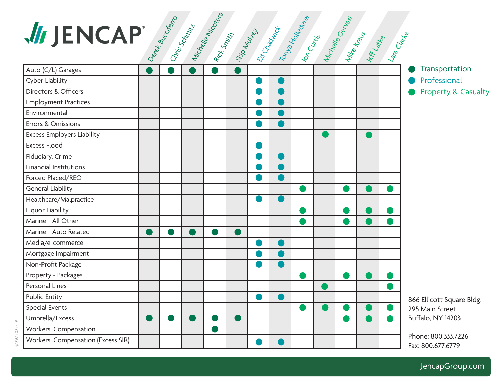

JencapGroup.com